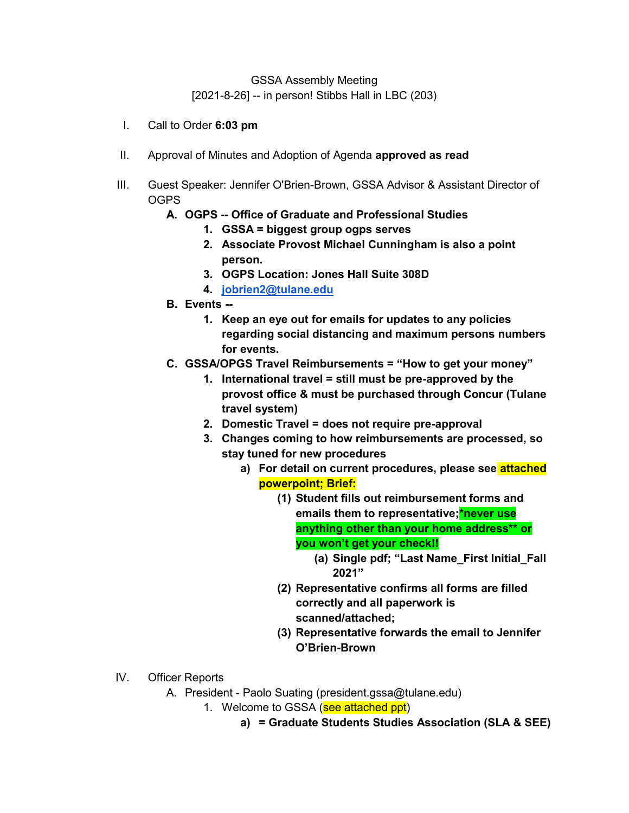GSSA Assembly Meeting [2021-8-26] -- in person! Stibbs Hall in LBC (203)

- I. Call to Order **6:03 pm**
- II. Approval of Minutes and Adoption of Agenda **approved as read**
- III. Guest Speaker: Jennifer O'Brien-Brown, GSSA Advisor & Assistant Director of OGPS
	- **A. OGPS -- Office of Graduate and Professional Studies** 
		- **1. GSSA = biggest group ogps serves**
		- **2. Associate Provost Michael Cunningham is also a point person.**
		- **3. OGPS Location: Jones Hall Suite 308D**
		- **4. [jobrien2@tulane.edu](mailto:jobrien2@tulane.edu)**
	- **B. Events --** 
		- **1. Keep an eye out for emails for updates to any policies regarding social distancing and maximum persons numbers for events.**
	- **C. GSSA/OPGS Travel Reimbursements = "How to get your money"**
		- **1. International travel = still must be pre-approved by the provost office & must be purchased through Concur (Tulane travel system)**
		- **2. Domestic Travel = does not require pre-approval**
		- **3. Changes coming to how reimbursements are processed, so stay tuned for new procedures** 
			- **a) For detail on current procedures, please see attached powerpoint; Brief:** 
				- **(1) Student fills out reimbursement forms and emails them to representative;\*never use anything other than your home address\*\* or you won't get your check!!** 
					- **(a) Single pdf; "Last Name\_First Initial\_Fall 2021"**
				- **(2) Representative confirms all forms are filled correctly and all paperwork is scanned/attached;**
				- **(3) Representative forwards the email to Jennifer O'Brien-Brown**
- IV. Officer Reports
	- A. President Paolo Suating (president.gssa@tulane.edu)
		- 1. Welcome to GSSA (see attached ppt)
			- **a) = Graduate Students Studies Association (SLA & SEE)**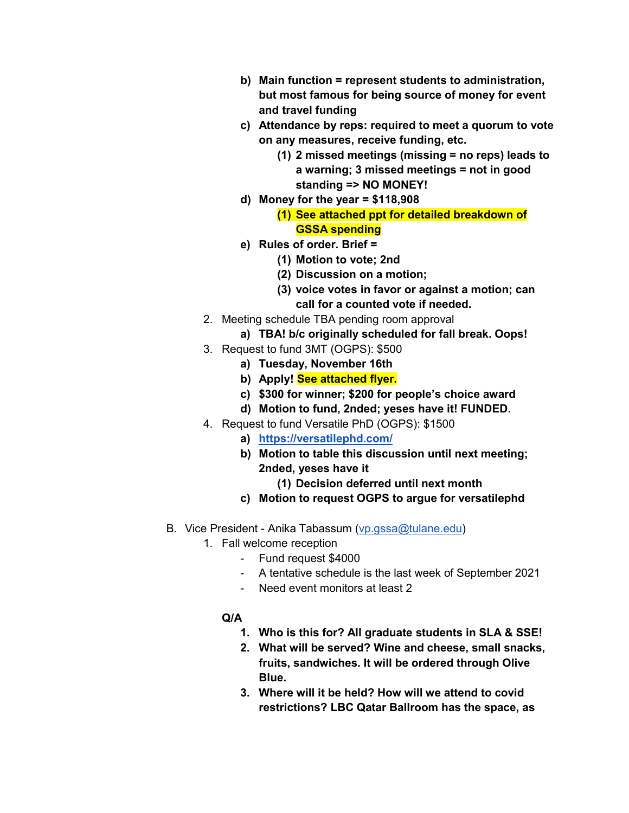- **b) Main function = represent students to administration, but most famous for being source of money for event and travel funding**
- **c) Attendance by reps: required to meet a quorum to vote on any measures, receive funding, etc.** 
	- **(1) 2 missed meetings (missing = no reps) leads to a warning; 3 missed meetings = not in good standing => NO MONEY!**
- **d) Money for the year = \$118,908** 
	- **(1) See attached ppt for detailed breakdown of GSSA spending**
- **e) Rules of order. Brief =** 
	- **(1) Motion to vote; 2nd**
	- **(2) Discussion on a motion;**
	- **(3) voice votes in favor or against a motion; can call for a counted vote if needed.**
- 2. Meeting schedule TBA pending room approval
	- **a) TBA! b/c originally scheduled for fall break. Oops!**
- 3. Request to fund 3MT (OGPS): \$500
	- **a) Tuesday, November 16th**
	- **b) Apply! See attached flyer.**
	- **c) \$300 for winner; \$200 for people's choice award**
	- **d) Motion to fund, 2nded; yeses have it! FUNDED.**
- 4. Request to fund Versatile PhD (OGPS): \$1500
	- **a) <https://versatilephd.com/>**
	- **b) Motion to table this discussion until next meeting; 2nded, yeses have it** 
		- **(1) Decision deferred until next month**
	- **c) Motion to request OGPS to argue for versatilephd**
- B. Vice President Anika Tabassum [\(vp.gssa@tulane.edu\)](mailto:vp.gssa@tulane.edu)
	- 1. Fall welcome reception
		- Fund request \$4000
		- A tentative schedule is the last week of September 2021
		- Need event monitors at least 2
		- **Q/A** 
			- **1. Who is this for? All graduate students in SLA & SSE!**
			- **2. What will be served? Wine and cheese, small snacks, fruits, sandwiches. It will be ordered through Olive Blue.**
			- **3. Where will it be held? How will we attend to covid restrictions? LBC Qatar Ballroom has the space, as**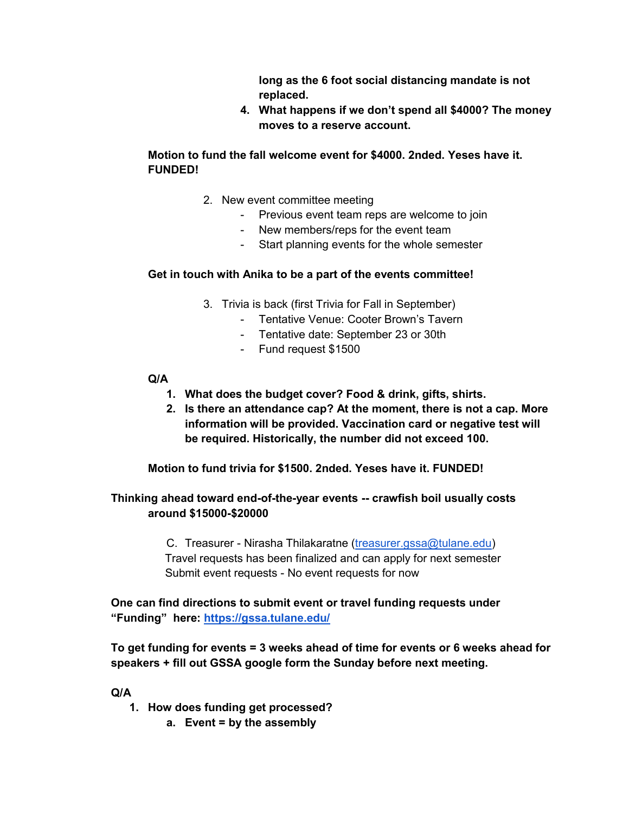**long as the 6 foot social distancing mandate is not replaced.** 

**4. What happens if we don't spend all \$4000? The money moves to a reserve account.** 

# **Motion to fund the fall welcome event for \$4000. 2nded. Yeses have it. FUNDED!**

- 2. New event committee meeting
	- Previous event team reps are welcome to join
	- New members/reps for the event team
	- Start planning events for the whole semester

### **Get in touch with Anika to be a part of the events committee!**

- 3. Trivia is back (first Trivia for Fall in September)
	- Tentative Venue: Cooter Brown's Tavern
	- Tentative date: September 23 or 30th
	- Fund request \$1500

### **Q/A**

- **1. What does the budget cover? Food & drink, gifts, shirts.**
- **2. Is there an attendance cap? At the moment, there is not a cap. More information will be provided. Vaccination card or negative test will be required. Historically, the number did not exceed 100.**

 **Motion to fund trivia for \$1500. 2nded. Yeses have it. FUNDED!** 

### **Thinking ahead toward end-of-the-year events -- crawfish boil usually costs around \$15000-\$20000**

C. Treasurer - Nirasha Thilakaratne [\(treasurer.gssa@tulane.edu\)](mailto:treasurer.gssa@tulane.edu) Travel requests has been finalized and can apply for next semester Submit event requests - No event requests for now

**One can find directions to submit event or travel funding requests under "Funding" here:<https://gssa.tulane.edu/>**

**To get funding for events = 3 weeks ahead of time for events or 6 weeks ahead for speakers + fill out GSSA google form the Sunday before next meeting.** 

**Q/A** 

- **1. How does funding get processed?** 
	- **a. Event = by the assembly**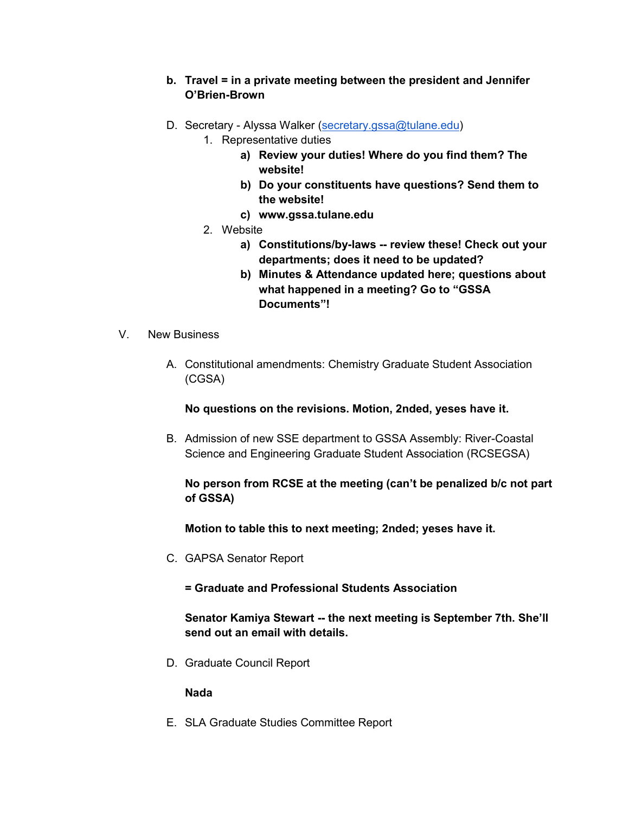### **b. Travel = in a private meeting between the president and Jennifer O'Brien-Brown**

- D. Secretary Alyssa Walker [\(secretary.gssa@tulane.edu\)](mailto:secretary.gssa@tulane.edu)
	- 1. Representative duties
		- **a) Review your duties! Where do you find them? The website!**
		- **b) Do your constituents have questions? Send them to the website!**
		- **c) www.gssa.tulane.edu**
	- 2. Website
		- **a) Constitutions/by-laws -- review these! Check out your departments; does it need to be updated?**
		- **b) Minutes & Attendance updated here; questions about what happened in a meeting? Go to "GSSA Documents"!**
- V. New Business
	- A. Constitutional amendments: Chemistry Graduate Student Association (CGSA)

**No questions on the revisions. Motion, 2nded, yeses have it.** 

B. Admission of new SSE department to GSSA Assembly: River-Coastal Science and Engineering Graduate Student Association (RCSEGSA)

# **No person from RCSE at the meeting (can't be penalized b/c not part of GSSA)**

 **Motion to table this to next meeting; 2nded; yeses have it.** 

C. GAPSA Senator Report

**= Graduate and Professional Students Association** 

**Senator Kamiya Stewart -- the next meeting is September 7th. She'll send out an email with details.** 

D. Graduate Council Report

#### **Nada**

E. SLA Graduate Studies Committee Report